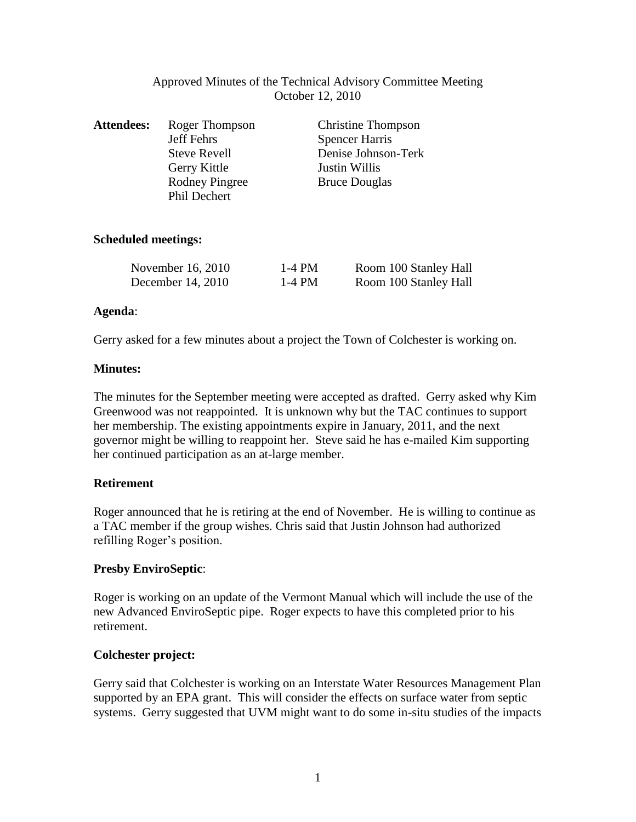| Approved Minutes of the Technical Advisory Committee Meeting |
|--------------------------------------------------------------|
| October 12, 2010                                             |

| <b>Attendees:</b> | Roger Thompson                               | <b>Christine Thompson</b> |
|-------------------|----------------------------------------------|---------------------------|
|                   | Jeff Fehrs                                   | <b>Spencer Harris</b>     |
|                   | <b>Steve Revell</b>                          | Denise Johnson-Terk       |
|                   | Gerry Kittle                                 | Justin Willis             |
|                   | <b>Rodney Pingree</b><br><b>Phil Dechert</b> | <b>Bruce Douglas</b>      |

## **Scheduled meetings:**

| November 16, 2010 | 1-4 PM | Room 100 Stanley Hall |
|-------------------|--------|-----------------------|
| December 14, 2010 | 1-4 PM | Room 100 Stanley Hall |

### **Agenda**:

Gerry asked for a few minutes about a project the Town of Colchester is working on.

### **Minutes:**

The minutes for the September meeting were accepted as drafted. Gerry asked why Kim Greenwood was not reappointed. It is unknown why but the TAC continues to support her membership. The existing appointments expire in January, 2011, and the next governor might be willing to reappoint her. Steve said he has e-mailed Kim supporting her continued participation as an at-large member.

## **Retirement**

Roger announced that he is retiring at the end of November. He is willing to continue as a TAC member if the group wishes. Chris said that Justin Johnson had authorized refilling Roger's position.

## **Presby EnviroSeptic**:

Roger is working on an update of the Vermont Manual which will include the use of the new Advanced EnviroSeptic pipe. Roger expects to have this completed prior to his retirement.

## **Colchester project:**

Gerry said that Colchester is working on an Interstate Water Resources Management Plan supported by an EPA grant. This will consider the effects on surface water from septic systems. Gerry suggested that UVM might want to do some in-situ studies of the impacts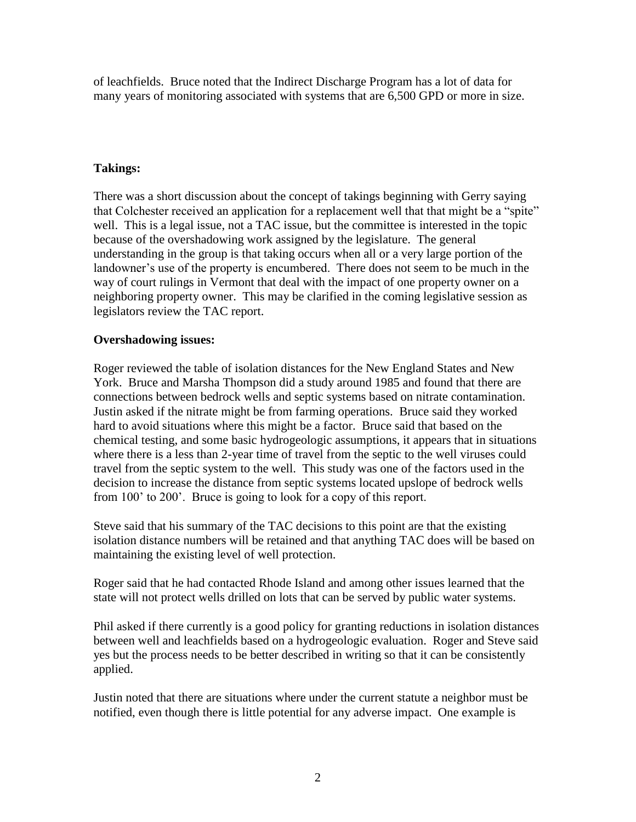of leachfields. Bruce noted that the Indirect Discharge Program has a lot of data for many years of monitoring associated with systems that are 6,500 GPD or more in size.

# **Takings:**

There was a short discussion about the concept of takings beginning with Gerry saying that Colchester received an application for a replacement well that that might be a "spite" well. This is a legal issue, not a TAC issue, but the committee is interested in the topic because of the overshadowing work assigned by the legislature. The general understanding in the group is that taking occurs when all or a very large portion of the landowner's use of the property is encumbered. There does not seem to be much in the way of court rulings in Vermont that deal with the impact of one property owner on a neighboring property owner. This may be clarified in the coming legislative session as legislators review the TAC report.

# **Overshadowing issues:**

Roger reviewed the table of isolation distances for the New England States and New York. Bruce and Marsha Thompson did a study around 1985 and found that there are connections between bedrock wells and septic systems based on nitrate contamination. Justin asked if the nitrate might be from farming operations. Bruce said they worked hard to avoid situations where this might be a factor. Bruce said that based on the chemical testing, and some basic hydrogeologic assumptions, it appears that in situations where there is a less than 2-year time of travel from the septic to the well viruses could travel from the septic system to the well. This study was one of the factors used in the decision to increase the distance from septic systems located upslope of bedrock wells from 100' to 200'. Bruce is going to look for a copy of this report.

Steve said that his summary of the TAC decisions to this point are that the existing isolation distance numbers will be retained and that anything TAC does will be based on maintaining the existing level of well protection.

Roger said that he had contacted Rhode Island and among other issues learned that the state will not protect wells drilled on lots that can be served by public water systems.

Phil asked if there currently is a good policy for granting reductions in isolation distances between well and leachfields based on a hydrogeologic evaluation. Roger and Steve said yes but the process needs to be better described in writing so that it can be consistently applied.

Justin noted that there are situations where under the current statute a neighbor must be notified, even though there is little potential for any adverse impact. One example is